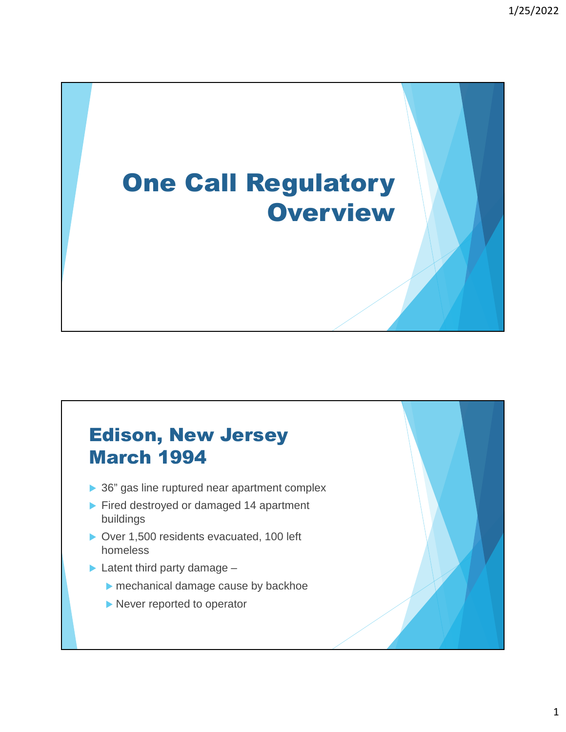# One Call Regulatory **Overview**

#### Edison, New Jersey March 1994

- ▶ 36" gas line ruptured near apartment complex
- Fired destroyed or damaged 14 apartment buildings
- ▶ Over 1,500 residents evacuated, 100 left homeless
- $\blacktriangleright$  Latent third party damage
	- mechanical damage cause by backhoe
	- Never reported to operator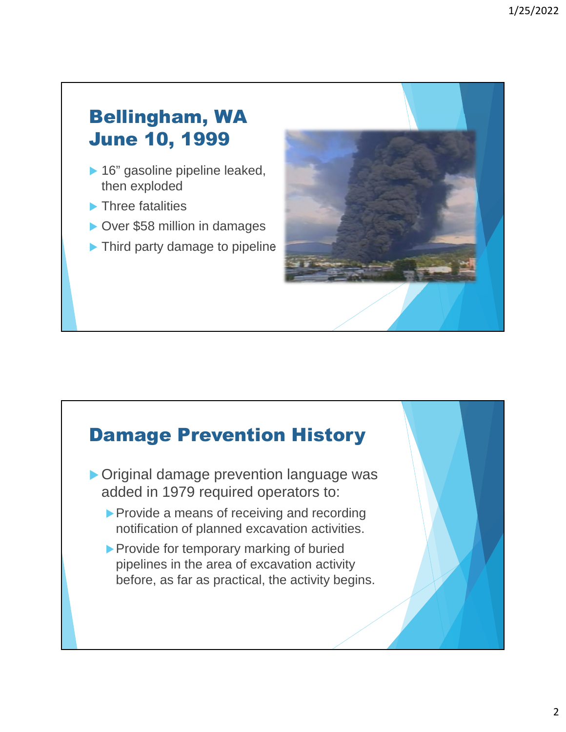#### Bellingham, WA June 10, 1999

- ▶ 16" gasoline pipeline leaked, then exploded
- Three fatalities
- ▶ Over \$58 million in damages
- ▶ Third party damage to pipeline

# Damage Prevention History Original damage prevention language was added in 1979 required operators to:

- Provide a means of receiving and recording notification of planned excavation activities.
- Provide for temporary marking of buried pipelines in the area of excavation activity before, as far as practical, the activity begins.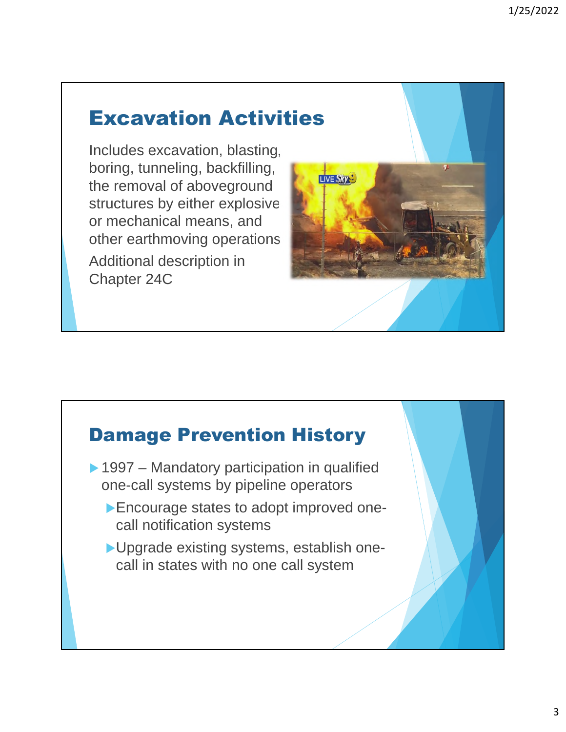## Excavation Activities

Includes excavation, blasting, boring, tunneling, backfilling, the removal of aboveground structures by either explosive or mechanical means, and other earthmoving operations Additional description in Chapter 24C





- ▶ 1997 Mandatory participation in qualified one-call systems by pipeline operators
	- Encourage states to adopt improved onecall notification systems
	- ▶ Upgrade existing systems, establish onecall in states with no one call system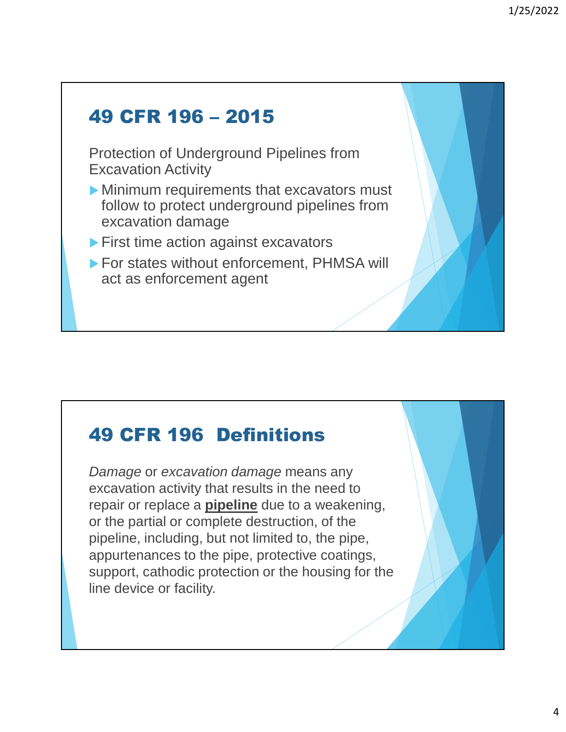# 49 CFR 196 – 2015 Protection of Underground Pipelines from Excavation Activity Minimum requirements that excavators must follow to protect underground pipelines from excavation damage **First time action against excavators** ▶ For states without enforcement, PHMSA will act as enforcement agent

### 49 CFR 196 Definitions

*Damage* or *excavation damage* means any excavation activity that results in the need to repair or replace a **pipeline** due to a weakening, or the partial or complete destruction, of the pipeline, including, but not limited to, the pipe, appurtenances to the pipe, protective coatings, support, cathodic protection or the housing for the line device or facility.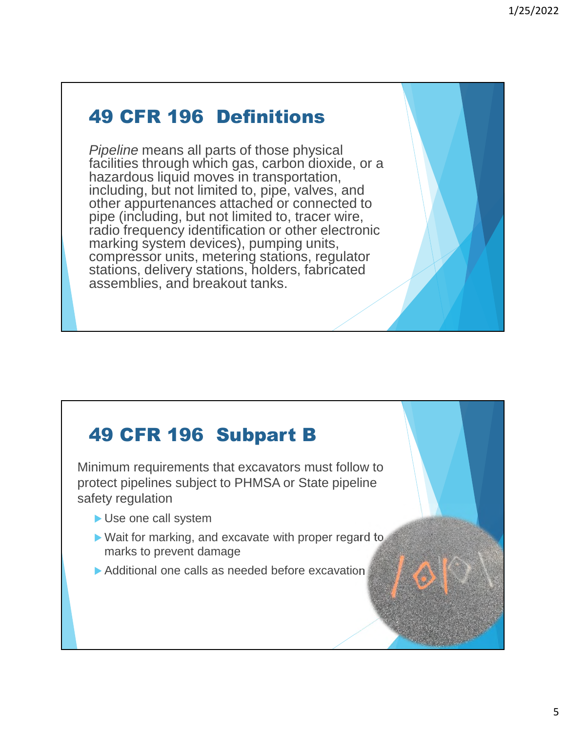#### 49 CFR 196 Definitions

*Pipeline* means all parts of those physical facilities through which gas, carbon dioxide, or a hazardous liquid moves in transportation, including, but not limited to, pipe, valves, and other appurtenances attached or connected to pipe (including, but not limited to, tracer wire, radio frequency identification or other electronic marking system devices), pumping units, compressor units, metering stations, regulator stations, delivery stations, holders, fabricated assemblies, and breakout tanks.

### 49 CFR 196 Subpart B

Minimum requirements that excavators must follow to protect pipelines subject to PHMSA or State pipeline safety regulation

- Use one call system
- ▶ Wait for marking, and excavate with proper regard to marks to prevent damage
- Additional one calls as needed before excavation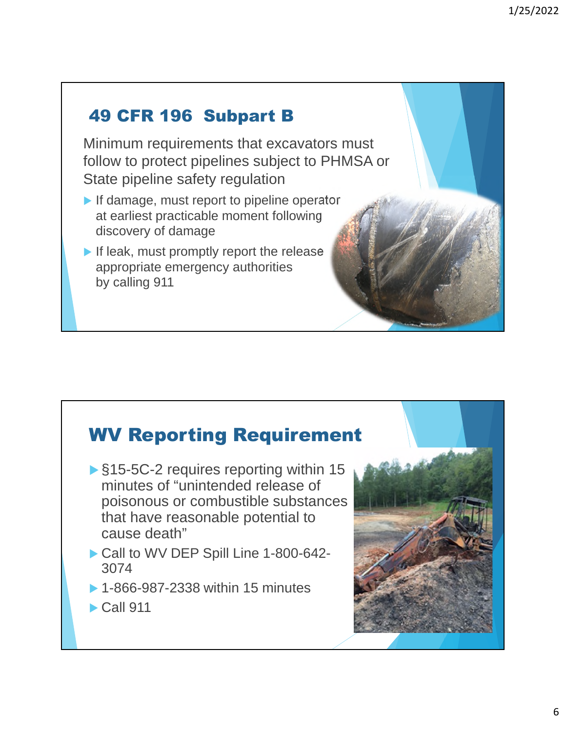#### 49 CFR 196 Subpart B

Minimum requirements that excavators must follow to protect pipelines subject to PHMSA or State pipeline safety regulation

- If damage, must report to pipeline operator at earliest practicable moment following discovery of damage
- If leak, must promptly report the release appropriate emergency authorities by calling 911

#### WV Reporting Requirement

- ▶ §15-5C-2 requires reporting within 15 minutes of "unintended release of poisonous or combustible substances that have reasonable potential to cause death"
- Call to WV DEP Spill Line 1-800-642-3074
- ▶ 1-866-987-2338 within 15 minutes
- $\blacktriangleright$  Call 911

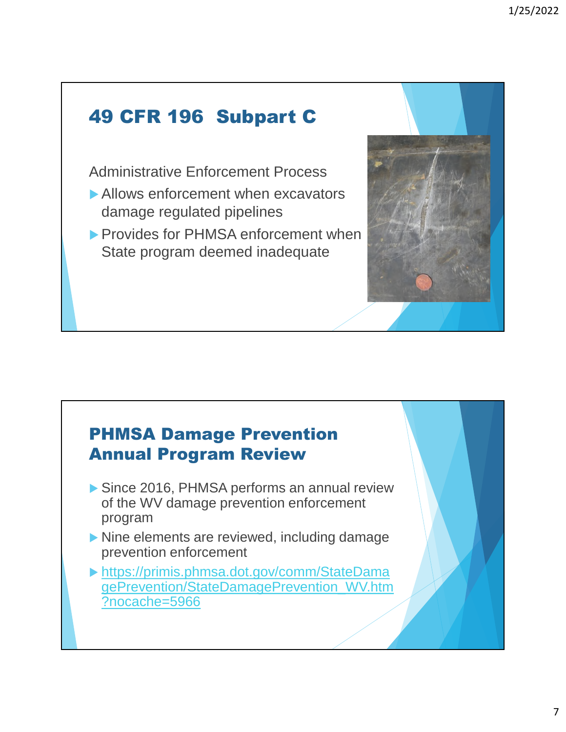## 49 CFR 196 Subpart C

Administrative Enforcement Process

- Allows enforcement when excavators damage regulated pipelines
- **Provides for PHMSA enforcement when** State program deemed inadequate

#### PHMSA Damage Prevention Annual Program Review

- Since 2016, PHMSA performs an annual review of the WV damage prevention enforcement program
- Nine elements are reviewed, including damage prevention enforcement
- https://primis.phmsa.dot.gov/comm/StateDama gePrevention/StateDamagePrevention\_WV.htm ?nocache=5966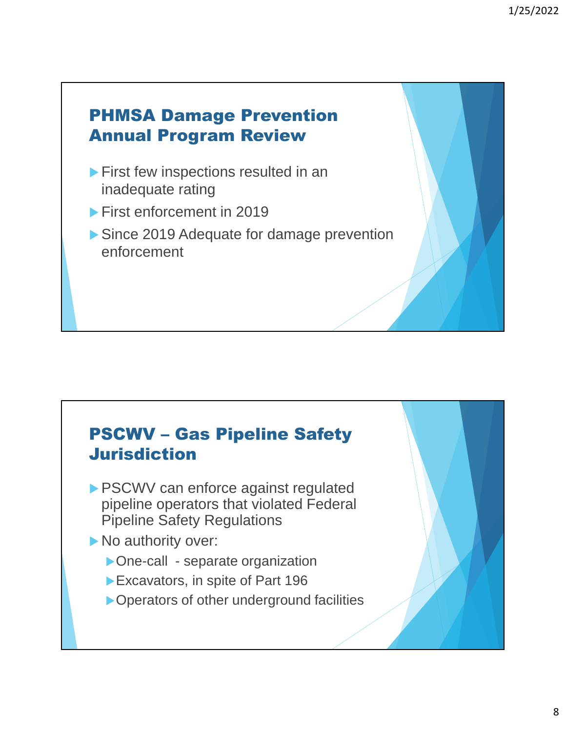#### PHMSA Damage Prevention Annual Program Review

- **First few inspections resulted in an** inadequate rating
- **First enforcement in 2019**
- ▶ Since 2019 Adequate for damage prevention enforcement

#### PSCWV – Gas Pipeline Safety Jurisdiction

- **PSCWV can enforce against regulated** pipeline operators that violated Federal Pipeline Safety Regulations
- No authority over:
	- ▶ One-call separate organization
	- Excavators, in spite of Part 196
	- ▶ Operators of other underground facilities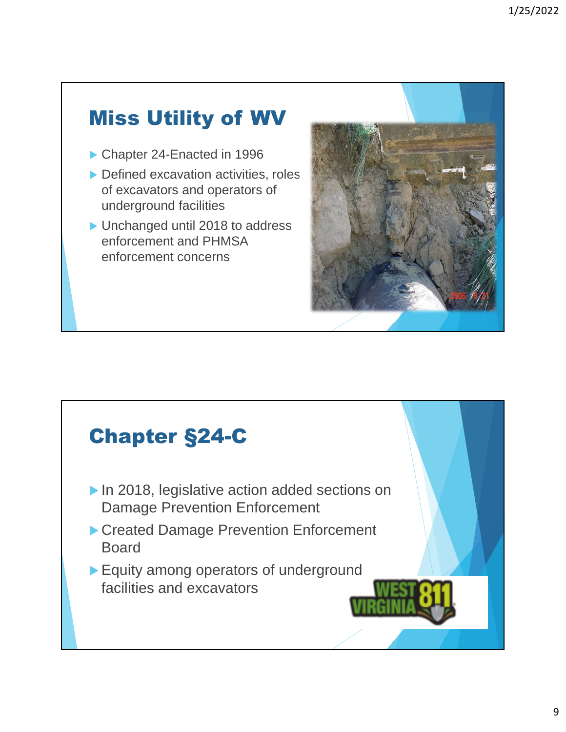# Miss Utility of WV

- ▶ Chapter 24-Enacted in 1996
- Defined excavation activities, roles of excavators and operators of underground facilities
- ▶ Unchanged until 2018 to address enforcement and PHMSA enforcement concerns



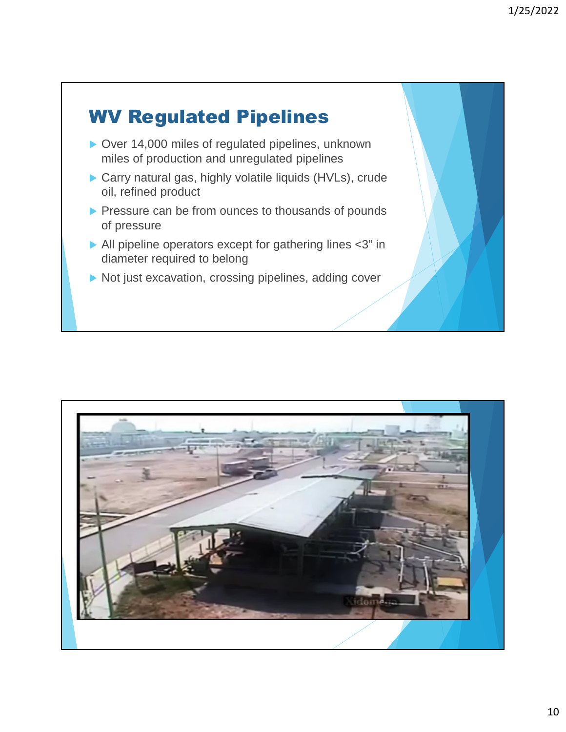

- ▶ Over 14,000 miles of regulated pipelines, unknown miles of production and unregulated pipelines
- ▶ Carry natural gas, highly volatile liquids (HVLs), crude oil, refined product
- Pressure can be from ounces to thousands of pounds of pressure
- All pipeline operators except for gathering lines <3" in diameter required to belong
- Not just excavation, crossing pipelines, adding cover